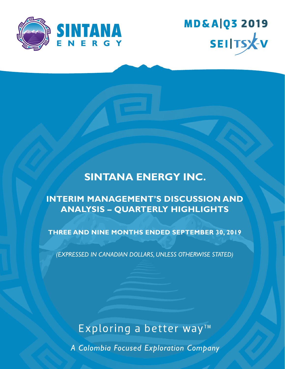



## **SINTANA ENERGY INC.**

## **INTERIM MANAGEMENT'S DISCUSSION AND ANALYSIS – QUARTERLY HIGHLIGHTS**

**THREE AND NINE MONTHS ENDED SEPTEMBER 30, 2019**

*(EXPRESSED IN CANADIAN DOLLARS, UNLESS OTHERWISE STATED)*

# Exploring a better way<sup>™</sup>

A Colombia Focused Exploration Company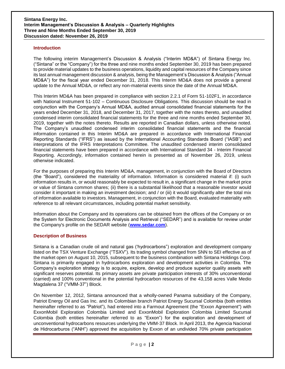#### **Introduction**

The following interim Management's Discussion & Analysis ("Interim MD&A") of Sintana Energy Inc. ("Sintana" or the "Company") for the three and nine months ended September 30, 2019 has been prepared to provide material updates to the business operations, liquidity and capital resources of the Company since its last annual management discussion & analysis, being the Management's Discussion & Analysis ("Annual MD&A") for the fiscal year ended December 31, 2018. This Interim MD&A does not provide a general update to the Annual MD&A, or reflect any non-material events since the date of the Annual MD&A.

This Interim MD&A has been prepared in compliance with section 2.2.1 of Form 51-102F1, in accordance with National Instrument 51-102 – Continuous Disclosure Obligations. This discussion should be read in conjunction with the Company's Annual MD&A, audited annual consolidated financial statements for the years ended December 31, 2018, and December 31, 2017, together with the notes thereto, and unaudited condensed interim consolidated financial statements for the three and nine months ended September 30, 2019, together with the notes thereto. Results are reported in Canadian dollars, unless otherwise noted. The Company's unaudited condensed interim consolidated financial statements and the financial information contained in this Interim MD&A are prepared in accordance with International Financial Reporting Standards ("IFRS") as issued by the International Accounting Standards Board ("IASB") and interpretations of the IFRS Interpretations Committee. The unaudited condensed interim consolidated financial statements have been prepared in accordance with International Standard 34 - Interim Financial Reporting. Accordingly, information contained herein is presented as of November 26, 2019, unless otherwise indicated.

For the purposes of preparing this Interim MD&A, management, in conjunction with the Board of Directors (the "Board"), considered the materiality of information. Information is considered material if: (i) such information results in, or would reasonably be expected to result in, a significant change in the market price or value of Sintana common shares; (ii) there is a substantial likelihood that a reasonable investor would consider it important in making an investment decision; and / or (iii) it would significantly alter the total mix of information available to investors. Management, in conjunction with the Board, evaluated materiality with reference to all relevant circumstances, including potential market sensitivity.

Information about the Company and its operations can be obtained from the offices of the Company or on the System for Electronic Documents Analysis and Retrieval ("SEDAR") and is available for review under the Company's profile on the SEDAR website (**www.sedar.com**).

#### **Description of Business**

Sintana is a Canadian crude oil and natural gas ('hydrocarbons") exploration and development company listed on the TSX Venture Exchange ("TSXV"). Its trading symbol changed from SNN to SEI effective as of the market open on August 10, 2015, subsequent to the business combination with Sintana Holdings Corp. Sintana is primarily engaged in hydrocarbons exploration and development activities in Colombia. The Company's exploration strategy is to acquire, explore, develop and produce superior quality assets with significant reserves potential. Its primary assets are private participation interests of 30% unconventional (carried) and 100% conventional in the potential hydrocarbon resources of the 43,158 acres Valle Medio Magdalena 37 ("VMM-37") Block.

On November 12, 2012, Sintana announced that a wholly-owned Panama subsidiary of the Company, Patriot Energy Oil and Gas Inc. and its Colombian branch Patriot Energy Sucursal Colombia (both entities hereinafter referred to as "Patriot"), had entered into a Farmout Agreement (the "Exxon Agreement") with ExxonMobil Exploration Colombia Limited and ExxonMobil Exploration Colombia Limited Sucursal Colombia (both entities hereinafter referred to as "Exxon") for the exploration and development of unconventional hydrocarbons resources underlying the VMM-37 Block. In April 2013, the Agencia Nacional de Hidrocarburos ("ANH") approved the acquisition by Exxon of an undivided 70% private participation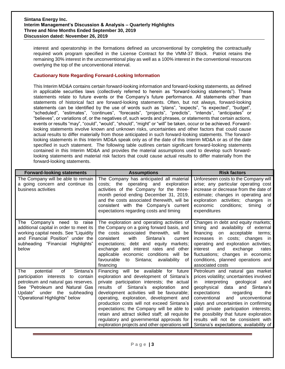interest and operatorship in the formations defined as unconventional by completing the contractually required work program specified in the License Contract for the VMM-37 Block. Patriot retains the remaining 30% interest in the unconventional play as well as a 100% interest in the conventional resources overlying the top of the unconventional interval.

#### **Cautionary Note Regarding Forward-Looking Information**

This Interim MD&A contains certain forward-looking information and forward-looking statements, as defined in applicable securities laws (collectively referred to herein as "forward-looking statements"). These statements relate to future events or the Company's future performance. All statements other than statements of historical fact are forward-looking statements. Often, but not always, forward-looking statements can be identified by the use of words such as "plans", "expects", "is expected", "budget", "scheduled", "estimates", "continues", "forecasts", "projects", "predicts", "intends", "anticipates" or "believes", or variations of, or the negatives of, such words and phrases, or statements that certain actions, events or results "may", "could", "would", "should", "might" or "will" be taken, occur or be achieved. Forwardlooking statements involve known and unknown risks, uncertainties and other factors that could cause actual results to differ materially from those anticipated in such forward-looking statements. The forwardlooking statements in this Interim MD&A speak only as of the date of this Interim MD&A or as of the date specified in such statement. The following table outlines certain significant forward-looking statements contained in this Interim MD&A and provides the material assumptions used to develop such forwardlooking statements and material risk factors that could cause actual results to differ materially from the forward-looking statements.

| <b>Forward-looking statements</b>                                                                                                                                                                                    | <b>Assumptions</b>                                                                                                                                                                                                                                                                                                                                                                                                                                                                                              | <b>Risk factors</b>                                                                                                                                                                                                                                                                                                                                                                                                                                      |  |
|----------------------------------------------------------------------------------------------------------------------------------------------------------------------------------------------------------------------|-----------------------------------------------------------------------------------------------------------------------------------------------------------------------------------------------------------------------------------------------------------------------------------------------------------------------------------------------------------------------------------------------------------------------------------------------------------------------------------------------------------------|----------------------------------------------------------------------------------------------------------------------------------------------------------------------------------------------------------------------------------------------------------------------------------------------------------------------------------------------------------------------------------------------------------------------------------------------------------|--|
| The Company will be able to remain<br>a going concern and continue its<br>business activities                                                                                                                        | The Company has anticipated all material<br>costs; the operating and exploration<br>activities of the Company for the three-<br>month period ending December 31, 2019,<br>and the costs associated therewith, will be<br>consistent with the Company's current<br>expectations regarding costs and timing                                                                                                                                                                                                       | Unforeseen costs to the Company will<br>arise; any particular operating cost<br>increase or decrease from the date of<br>estimate; changes in operating and<br>exploration activities; changes<br><i>in</i><br>conditions;<br>economic<br>timing<br>0f<br>expenditures                                                                                                                                                                                   |  |
| Company's need to raise<br>The<br>additional capital in order to meet its<br>working capital needs. See "Liquidity<br>and Financial Position" under the<br>subheading "Financial<br>Highlights"<br>below             | The exploration and operating activities of<br>the Company on a going forward basis, and<br>the costs associated therewith, will be<br>with<br>consistent<br>Sintana's<br>current<br>expectations; debt and equity markets;<br>exchange and interest rates and other<br>applicable economic conditions will be<br>Sintana; availability<br>favourable to<br>0f<br>financing                                                                                                                                     | Changes in debt and equity markets;<br>timing and availability of external<br>financing<br>acceptable<br>on<br>terms:<br>costs; changes in<br>increases<br>in.<br>operating and exploration activities;<br>interest<br>exchange<br>and<br>rates<br>fluctuations; changes in economic<br>conditions, planned operations and<br>associated costs                                                                                                           |  |
| of<br>Sintana's<br>potential<br>The<br>participation interests to contain<br>petroleum and natural gas reserves.<br>See "Petroleum and Natural Gas<br>Update" under the subheading<br>"Operational Highlights" below | Financing will be available for future<br>exploration and development of Sintana's<br>private participation interests; the actual<br>results of Sintana's exploration and<br>development activities will be favourable;<br>operating, exploration, development and<br>production costs will not exceed Sintana's<br>expectations; the Company will be able to<br>retain and attract skilled staff; all requisite<br>regulatory and governmental approvals for<br>exploration projects and other operations will | Petroleum and natural gas market<br>prices volatility; uncertainties involved<br>interpreting<br>geological<br>and<br>in.<br>geophysical data and Sintana's<br>expectations<br>regarding<br>the<br>and<br>conventional<br>unconventional<br>plays and uncertainties in confirming<br>valid private participation interests;<br>the possibility that future exploration<br>results will not be consistent with<br>Sintana's expectations; availability of |  |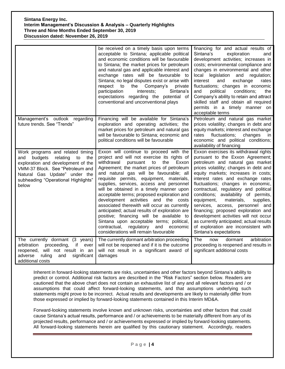|                                                                                                                                                                                                                                        | be received on a timely basis upon terms<br>acceptable to Sintana; applicable political<br>and economic conditions will be favourable<br>to Sintana; the market prices for petroleum<br>and natural gas and applicable interest and<br>exchange rates will be favourable to<br>Sintana; no legal disputes exist or arise with<br>Company's<br>respect<br>to<br>the<br>private<br>participation<br>interests;<br>Sintana's<br>expectations regarding the potential of<br>conventional and unconventional plays                                                                                                                                                                                                                              | financing for and actual results of<br>Sintana's<br>exploration<br>and<br>development activities; increases in<br>costs; environmental compliance and<br>changes in environmental and other<br>local legislation and regulation;<br>and<br>exchange<br>interest<br>rates<br>fluctuations; changes in economic<br>political<br>conditions;<br>and<br>the<br>Company's ability to retain and attract<br>skilled staff and obtain all required<br>permits in a timely manner on<br>acceptable terms                                                                                                                                     |
|----------------------------------------------------------------------------------------------------------------------------------------------------------------------------------------------------------------------------------------|--------------------------------------------------------------------------------------------------------------------------------------------------------------------------------------------------------------------------------------------------------------------------------------------------------------------------------------------------------------------------------------------------------------------------------------------------------------------------------------------------------------------------------------------------------------------------------------------------------------------------------------------------------------------------------------------------------------------------------------------|--------------------------------------------------------------------------------------------------------------------------------------------------------------------------------------------------------------------------------------------------------------------------------------------------------------------------------------------------------------------------------------------------------------------------------------------------------------------------------------------------------------------------------------------------------------------------------------------------------------------------------------|
| Management's outlook regarding<br>future trends. See "Trends"                                                                                                                                                                          | Financing will be available for Sintana's<br>exploration and operating activities; the<br>market prices for petroleum and natural gas<br>will be favourable to Sintana; economic and<br>political conditions will be favourable                                                                                                                                                                                                                                                                                                                                                                                                                                                                                                            | Petroleum and natural gas market<br>prices volatility; changes in debt and<br>equity markets; interest and exchange<br>fluctuations;<br>changes<br>rates<br>in<br>economic and political conditions;<br>availability of financing                                                                                                                                                                                                                                                                                                                                                                                                    |
| Work programs and related timing<br>relating<br>and<br>budgets<br>to<br>the<br>exploration and development of the<br>VMM-37 Block. See "Petroleum and<br>Natural Gas Update" under the<br>subheading "Operational Highlights"<br>below | Exxon will continue to proceed with the<br>project and will not exercise its rights of<br>withdrawal<br>pursuant<br>Exxon<br>to<br>the<br>Agreement; the market prices of petroleum<br>and natural gas will be favourable; all<br>requisite permits, equipment, materials,<br>supplies, services, access and personnel<br>will be obtained in a timely manner upon<br>acceptable terms; proposed exploration and<br>development activities and the costs<br>associated therewith will occur as currently<br>anticipated; actual results of exploration are<br>positive; financing will be available to<br>Sintana upon acceptable terms; political,<br>regulatory and<br>contractual,<br>economic<br>considerations will remain favourable | Exxon exercises its withdrawal rights<br>pursuant to the Exxon Agreement;<br>petroleum and natural gas market<br>prices volatility; changes in debt and<br>equity markets; increases in costs;<br>interest rates and exchange rates<br>fluctuations; changes in economic,<br>contractual, regulatory and political<br>conditions; availability of permits,<br>equipment,<br>materials,<br>supplies,<br>services, access, personnel and<br>financing; proposed exploration and<br>development activities will not occur<br>as currently anticipated; actual results<br>of exploration are inconsistent with<br>Sintana's expectations |
| The currently dormant (3 years)<br>arbitration<br>proceeding,<br>if<br>ever<br>reopened, will not result in an<br>adverse<br>ruling<br>and<br>significant<br>additional costs                                                          | The currently dormant arbitration proceeding<br>will not be reopened and if it is the outcome<br>will not result in a significant award of<br>damages                                                                                                                                                                                                                                                                                                                                                                                                                                                                                                                                                                                      | <b>The</b><br>arbitration<br>dormant<br>now<br>proceeding is reopened and results in<br>significant additional costs                                                                                                                                                                                                                                                                                                                                                                                                                                                                                                                 |

Inherent in forward-looking statements are risks, uncertainties and other factors beyond Sintana's ability to predict or control. Additional risk factors are described in the "Risk Factors" section below. Readers are cautioned that the above chart does not contain an exhaustive list of any and all relevant factors and / or assumptions that could affect forward-looking statements, and that assumptions underlying such statements might prove to be incorrect. Actual results and developments are likely to materially differ from those expressed or implied by forward-looking statements contained in this Interim MD&A.

Forward-looking statements involve known and unknown risks, uncertainties and other factors that could cause Sintana's actual results, performance and / or achievements to be materially different from any of its projected results, performance and / or achievements expressed or implied by forward-looking statements. All forward-looking statements herein are qualified by this cautionary statement. Accordingly, readers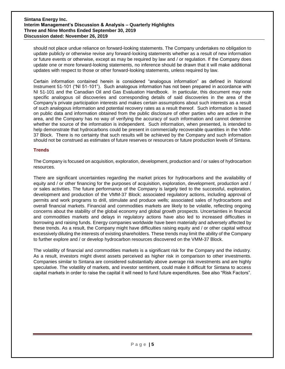should not place undue reliance on forward-looking statements. The Company undertakes no obligation to update publicly or otherwise revise any forward-looking statements whether as a result of new information or future events or otherwise, except as may be required by law and / or regulation. If the Company does update one or more forward-looking statements, no inference should be drawn that it will make additional updates with respect to those or other forward-looking statements, unless required by law.

Certain information contained herein is considered "analogous information" as defined in National Instrument 51-101 ("NI 51-101"). Such analogous information has not been prepared in accordance with NI 51-101 and the Canadian Oil and Gas Evaluation Handbook. In particular, this document may note specific analogous oil discoveries and corresponding details of said discoveries in the area of the Company's private participation interests and makes certain assumptions about such interests as a result of such analogous information and potential recovery rates as a result thereof. Such information is based on public data and information obtained from the public disclosure of other parties who are active in the area, and the Company has no way of verifying the accuracy of such information and cannot determine whether the source of the information is independent. Such information, when presented, is intended to help demonstrate that hydrocarbons could be present in commercially recoverable quantities in the VMM-37 Block. There is no certainty that such results will be achieved by the Company and such information should not be construed as estimates of future reserves or resources or future production levels of Sintana.

#### **Trends**

The Company is focused on acquisition, exploration, development, production and / or sales of hydrocarbon resources.

There are significant uncertainties regarding the market prices for hydrocarbons and the availability of equity and / or other financing for the purposes of acquisition, exploration, development, production and / or sales activities. The future performance of the Company is largely tied to the successful, exploration, development and production of the VMM-37 Block; associated regulatory actions, including approval of permits and work programs to drill, stimulate and produce wells; associated sales of hydrocarbons and overall financial markets. Financial and commodities markets are likely to be volatile, reflecting ongoing concerns about the stability of the global economy and global growth prospects. Uncertainties in financial and commodities markets and delays in regulatory actions have also led to increased difficulties in borrowing and raising funds. Energy companies worldwide have been materially and adversely affected by these trends. As a result, the Company might have difficulties raising equity and / or other capital without excessively diluting the interests of existing shareholders. These trends may limit the ability of the Company to further explore and / or develop hydrocarbon resources discovered on the VMM-37 Block.

The volatility of financial and commodities markets is a significant risk for the Company and the industry. As a result, investors might divest assets perceived as higher risk in comparison to other investments. Companies similar to Sintana are considered substantially above average risk investments and are highly speculative. The volatility of markets, and investor sentiment, could make it difficult for Sintana to access capital markets in order to raise the capital it will need to fund future expenditures. See also "Risk Factors".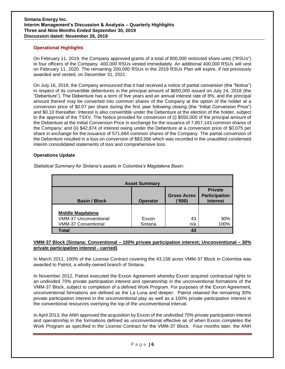#### **Operational Highlights**

On February 11, 2019, the Company approved grants of a total of 800,000 restricted share units ("RSUs") to four officers of the Company. 400,000 RSUs vested immediately. An additional 400,000 RSUs will vest on February 11, 2020. The remaining 200,000 RSUs in the 2019 RSUs Plan will expire, if not previously awarded and vested, on December 31, 2021.

On July 16, 2019, the Company announced that it had received a notice of partial conversion (the "Notice") in respect of its convertible debentures in the principal amount of \$650,000 issued on July 24, 2018 (the "Debenture"). The Debenture has a term of five years and an annual interest rate of 8%, and the principal amount thereof may be converted into common shares of the Company at the option of the holder at a conversion price of \$0.07 per share during the first year following closing (the "Initial Conversion Price") and \$0.10 thereafter. Interest is also convertible under the Debenture at the election of the holder, subject to the approval of the TSXV. The Notice provided for conversion of (i) \$550,000 of the principal amount of the Debenture at the Initial Conversion Price in exchange for the issuance of 7,857,143 common shares of the Company; and (ii) \$42,874 of interest owing under the Debenture at a conversion price of \$0.075 per share in exchange for the issuance of 571,664 common shares of the Company. The partial conversion of the Debenture resulted in a loss on conversion of \$83,566 which was recorded in the unaudited condensed interim consolidated statements of loss and comprehensive loss.

#### **Operations Update**

*Statistical Summary for Sintana's assets in Colombia's Magdalena Basin:*

|                              | <b>Asset Summary</b> |                              |                                                           |
|------------------------------|----------------------|------------------------------|-----------------------------------------------------------|
| <b>Basin / Block</b>         | <b>Operator</b>      | <b>Gross Acres</b><br>('000) | <b>Private</b><br><b>Participation</b><br><b>Interest</b> |
|                              |                      |                              |                                                           |
| Middle Magdalena             |                      |                              |                                                           |
| <b>VMM-37 Unconventional</b> | Exxon                | 43                           | 30%                                                       |
| <b>VMM-37 Conventional</b>   | Sintana              | n/a                          | 100%                                                      |
| <b>Total</b>                 |                      | 43                           |                                                           |

#### **VMM-37 Block (Sintana: Conventional – 100% private participation interest; Unconventional – 30% private participation interest - carried)**

In March 2011, 100% of the License Contract covering the 43,158 acres VMM-37 Block in Colombia was awarded to Patriot, a wholly-owned branch of Sintana.

In November 2012, Patriot executed the Exxon Agreement whereby Exxon acquired contractual rights to an undivided 70% private participation interest and operatorship in the unconventional formations of the VMM-37 Block, subject to completion of a defined Work Program. For purposes of the Exxon Agreement, unconventional formations are defined as the La Luna and deeper. Patriot retained the remaining 30% private participation interest in the unconventional play as well as a 100% private participation interest in the conventional resources overlying the top of the unconventional interval.

In April 2013, the ANH approved the acquisition by Exxon of the undivided 70% private participation interest and operatorship in the formations defined as unconventional effective as of when Exxon completes the Work Program as specified in the License Contract for the VMM-37 Block. Four months later, the ANH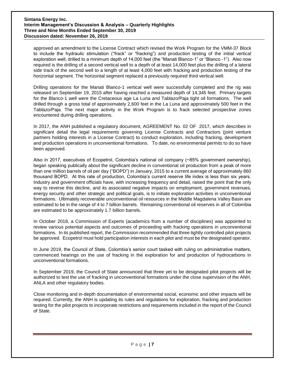approved an amendment to the License Contract which revised the Work Program for the VMM-37 Block to include the hydraulic stimulation ("frack" or "fracking") and production testing of the initial vertical exploration well, drilled to a minimum depth of 14,000 feet (the "Manati Blanco-1" or "Blanco -1"). Also now required is the drilling of a second vertical well to a depth of at least 14,000 feet plus the drilling of a lateral side track of the second well to a length of at least 4,000 feet with fracking and production testing of the horizontal segment. The horizontal segment replaced a previously required third vertical well.

Drilling operations for the Manati Blanco-1 vertical well were successfully completed and the rig was released on September 19, 2015 after having reached a measured depth of 14,345 feet. Primary targets for the Blanco-1 well were the Cretaceous age La Luna and Tablazo/Paja tight oil formations. The well drilled through a gross total of approximately 2,600 feet in the La Luna and approximately 500 feet in the Tablazo/Paja. The next major activity in the Work Program is to frack selected prospective zones encountered during drilling operations.

In 2017, the ANH published a regulatory document, AGREEMENT No. 02 OF 2017, which describes in significant detail the legal requirements governing License Contracts and Contractors (joint venture partners holding interests in a License Contract) to conduct exploration, including fracking, development and production operations in unconventional formations. To date, no environmental permits to do so have been approved.

Also in 2017, executives of Ecopetrol, Colombia's national oil company (~85% government ownership), began speaking publically about the significant decline in conventional oil production from a peak of more than one million barrels of oil per day ("BOPD") in January, 2015 to a current average of approximately 860 thousand BOPD. At this rate of production, Colombia's current reserve life index is less than six years. Industry and government officials have, with increasing frequency and detail, raised the point that the only way to reverse this decline, and its associated negative impacts on employment, government revenues, energy security and other strategic and political goals, is to initiate exploration activities in unconventional formations. Ultimately recoverable unconventional oil resources in the Middle Magdalena Valley Basin are estimated to be in the range of 4 to 7 billion barrels. Remaining conventional oil reserves in all of Colombia are estimated to be approximately 1.7 billion barrels.

In October 2018, a Commission of Experts (academics from a number of disciplines) was appointed to review various potential aspects and outcomes of proceeding with fracking operations in unconventional formations. In its published report, the Commission recommended that three tightly controlled pilot projects be approved. Ecopetrol must hold participation interests in each pilot and must be the designated operator.

In June 2019, the Council of State, Colombia's senior court tasked with ruling on administrative matters, commenced hearings on the use of fracking in the exploration for and production of hydrocarbons in unconventional formations.

In September 2019, the Council of State announced that three yet to be designated pilot projects will be authorized to test the use of fracking in unconventional formations under the close supervision of the ANH, ANLA and other regulatory bodies.

Close monitoring and in-depth documentation of environmental social, economic and other impacts will be required. Currently, the ANH is updating its rules and regulations for exploration, fracking and production testing for the pilot projects to incorporate restrictions and requirements included in the report of the Council of State.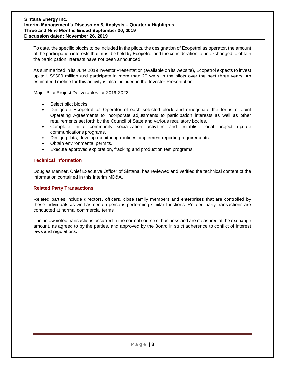To date, the specific blocks to be included in the pilots, the designation of Ecopetrol as operator, the amount of the participation interests that must be held by Ecopetrol and the consideration to be exchanged to obtain the participation interests have not been announced.

As summarized in its June 2019 Investor Presentation (available on its website), Ecopetrol expects to invest up to US\$500 million and participate in more than 20 wells in the pilots over the next three years. An estimated timeline for this activity is also included in the Investor Presentation.

Major Pilot Project Deliverables for 2019-2022:

- Select pilot blocks.
- Designate Ecopetrol as Operator of each selected block and renegotiate the terms of Joint Operating Agreements to incorporate adjustments to participation interests as well as other requirements set forth by the Council of State and various regulatory bodies.
- Complete initial community socialization activities and establish local project update communications programs.
- Design pilots; develop monitoring routines; implement reporting requirements.
- Obtain environmental permits.
- Execute approved exploration, fracking and production test programs.

#### **Technical Information**

Douglas Manner, Chief Executive Officer of Sintana, has reviewed and verified the technical content of the information contained in this Interim MD&A.

#### **Related Party Transactions**

Related parties include directors, officers, close family members and enterprises that are controlled by these individuals as well as certain persons performing similar functions. Related party transactions are conducted at normal commercial terms.

The below noted transactions occurred in the normal course of business and are measured at the exchange amount, as agreed to by the parties, and approved by the Board in strict adherence to conflict of interest laws and regulations.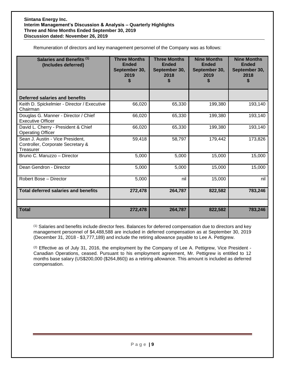Remuneration of directors and key management personnel of the Company was as follows:

| Salaries and Benefits (1)<br>(Includes deferred)                                   | <b>Three Months</b><br><b>Ended</b><br>September 30,<br>2019<br>S | <b>Three Months</b><br><b>Ended</b><br>September 30,<br>2018 | <b>Nine Months</b><br><b>Ended</b><br>September 30,<br>2019 | <b>Nine Months</b><br><b>Ended</b><br>September 30,<br>2018 |
|------------------------------------------------------------------------------------|-------------------------------------------------------------------|--------------------------------------------------------------|-------------------------------------------------------------|-------------------------------------------------------------|
| Deferred salaries and benefits                                                     |                                                                   |                                                              |                                                             |                                                             |
| Keith D. Spickelmier - Director / Executive<br>Chairman                            | 66,020                                                            | 65,330                                                       | 199,380                                                     | 193,140                                                     |
| Douglas G. Manner - Director / Chief<br><b>Executive Officer</b>                   | 66,020                                                            | 65,330                                                       | 199,380                                                     | 193,140                                                     |
| David L. Cherry - President & Chief<br><b>Operating Officer</b>                    | 66,020                                                            | 65,330                                                       | 199,380                                                     | 193,140                                                     |
| Sean J. Austin - Vice President,<br>Controller, Corporate Secretary &<br>Treasurer | 59,418                                                            | 58,797                                                       | 179,442                                                     | 173,826                                                     |
| Bruno C. Maruzzo - Director                                                        | 5,000                                                             | 5,000                                                        | 15,000                                                      | 15,000                                                      |
| Dean Gendron - Director                                                            | 5,000                                                             | 5,000                                                        | 15,000                                                      | 15,000                                                      |
| Robert Bose - Director                                                             | 5,000                                                             | nil                                                          | 15,000                                                      | nil                                                         |
| <b>Total deferred salaries and benefits</b>                                        | 272,478                                                           | 264,787                                                      | 822,582                                                     | 783,246                                                     |
| <b>Total</b>                                                                       | 272,478                                                           | 264,787                                                      | 822,582                                                     | 783,246                                                     |

(1) Salaries and benefits include director fees. Balances for deferred compensation due to directors and key management personnel of \$4,488,588 are included in deferred compensation as at September 30, 2019 (December 31, 2018 - \$3,777,189) and include the retiring allowance payable to Lee A. Pettigrew.

 $(2)$  Effective as of July 31, 2016, the employment by the Company of Lee A. Pettigrew, Vice President -Canadian Operations, ceased. Pursuant to his employment agreement, Mr. Pettigrew is entitled to 12 months base salary (US\$200,000 (\$264,860)) as a retiring allowance. This amount is included as deferred compensation.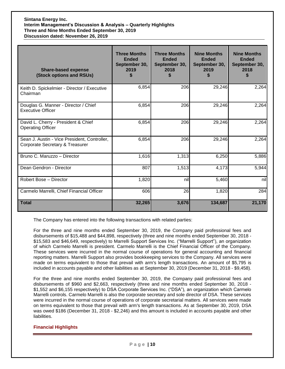| <b>Share-based expense</b><br>(Stock options and RSUs)                          | <b>Three Months</b><br><b>Ended</b><br>September 30,<br>2019 | <b>Three Months</b><br><b>Ended</b><br>September 30,<br>2018<br>S | <b>Nine Months</b><br><b>Ended</b><br>September 30,<br>2019 | <b>Nine Months</b><br><b>Ended</b><br>September 30,<br>2018 |
|---------------------------------------------------------------------------------|--------------------------------------------------------------|-------------------------------------------------------------------|-------------------------------------------------------------|-------------------------------------------------------------|
| Keith D. Spickelmier - Director / Executive<br>Chairman                         | 6,854                                                        | 206                                                               | 29,246                                                      | 2,264                                                       |
| Douglas G. Manner - Director / Chief<br><b>Executive Officer</b>                | 6,854                                                        | 206                                                               | 29,246                                                      | 2,264                                                       |
| David L. Cherry - President & Chief<br><b>Operating Officer</b>                 | 6,854                                                        | 206                                                               | 29,246                                                      | 2,264                                                       |
| Sean J. Austin - Vice President, Controller,<br>Corporate Secretary & Treasurer | 6,854                                                        | 206                                                               | 29,246                                                      | 2,264                                                       |
| Bruno C. Maruzzo - Director                                                     | 1,616                                                        | 1,313                                                             | 6,250                                                       | 5,886                                                       |
| Dean Gendron - Director                                                         | 807                                                          | 1,513                                                             | 4,173                                                       | 5,944                                                       |
| Robert Bose - Director                                                          | 1,820                                                        | nil                                                               | 5,460                                                       | nil                                                         |
| Carmelo Marrelli, Chief Financial Officer                                       | 606                                                          | 26                                                                | 1,820                                                       | 284                                                         |
| <b>Total</b>                                                                    | 32,265                                                       | 3,676                                                             | 134,687                                                     | 21,170                                                      |

The Company has entered into the following transactions with related parties:

For the three and nine months ended September 30, 2019, the Company paid professional fees and disbursements of \$15,488 and \$44,898, respectively (three and nine months ended September 30, 2018 - \$15,583 and \$46,649, respectively) to Marrelli Support Services Inc. ("Marrelli Support"), an organization of which Carmelo Marrelli is president. Carmelo Marrelli is the Chief Financial Officer of the Company. These services were incurred in the normal course of operations for general accounting and financial reporting matters. Marrelli Support also provides bookkeeping services to the Company. All services were made on terms equivalent to those that prevail with arm's length transactions. An amount of \$5,795 is included in accounts payable and other liabilities as at September 30, 2019 (December 31, 2018 - \$9,458).

For the three and nine months ended September 30, 2019, the Company paid professional fees and disbursements of \$960 and \$2,663, respectively (three and nine months ended September 30, 2018 - \$1,552 and \$6,155 respectively) to DSA Corporate Services Inc. ("DSA"), an organization which Carmelo Marrelli controls. Carmelo Marrelli is also the corporate secretary and sole director of DSA. These services were incurred in the normal course of operations of corporate secretarial matters. All services were made on terms equivalent to those that prevail with arm's length transactions. As at September 30, 2019, DSA was owed \$186 (December 31, 2018 - \$2,246) and this amount is included in accounts payable and other liabilities.

#### **Financial Highlights**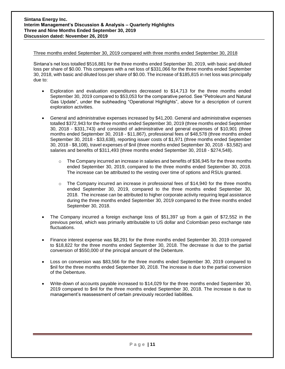#### Three months ended September 30, 2019 compared with three months ended September 30, 2018

Sintana's net loss totalled \$516,881 for the three months ended September 30, 2019, with basic and diluted loss per share of \$0.00. This compares with a net loss of \$331,066 for the three months ended September 30, 2018, with basic and diluted loss per share of \$0.00. The increase of \$185,815 in net loss was principally due to:

- Exploration and evaluation expenditures decreased to \$14,713 for the three months ended September 30, 2019 compared to \$53,053 for the comparative period. See "Petroleum and Natural Gas Update", under the subheading "Operational Highlights", above for a description of current exploration activities.
- General and administrative expenses increased by \$41,200. General and administrative expenses totalled \$372,943 for the three months ended September 30, 2019 (three months ended September 30, 2018 - \$331,743) and consisted of administrative and general expenses of \$10,901 (three months ended September 30, 2018 - \$11,867), professional fees of \$48,578 (three months ended September 30, 2018 - \$33,638), reporting issuer costs of \$1,971 (three months ended September 30, 2018 - \$8,108), travel expenses of \$nil (three months ended September 30, 2018 - \$3,582) and salaries and benefits of \$311,493 (three months ended September 30, 2018 - \$274,548).
	- $\circ$  The Company incurred an increase in salaries and benefits of \$36,945 for the three months ended September 30, 2019, compared to the three months ended September 30, 2018. The increase can be attributed to the vesting over time of options and RSUs granted.
	- o The Company incurred an increase in professional fees of \$14,940 for the three months ended September 30, 2019, compared to the three months ended September 30, 2018. The increase can be attributed to higher corporate activity requiring legal assistance during the three months ended September 30, 2019 compared to the three months ended September 30, 2018.
- The Company incurred a foreign exchange loss of \$51,397 up from a gain of \$72,552 in the previous period, which was primarily attributable to US dollar and Colombian peso exchange rate fluctuations.
- Finance interest expense was \$8,291 for the three months ended September 30, 2019 compared to \$18,822 for the three months ended September 30, 2018. The decrease is due to the partial conversion of \$550,000 of the principal amount of the Debenture.
- Loss on conversion was \$83,566 for the three months ended September 30, 2019 compared to \$nil for the three months ended September 30, 2018. The increase is due to the partial conversion of the Debenture.
- Write-down of accounts payable increased to \$14,029 for the three months ended September 30, 2019 compared to \$nil for the three months ended September 30, 2018. The increase is due to management's reassessment of certain previously recorded liabilities.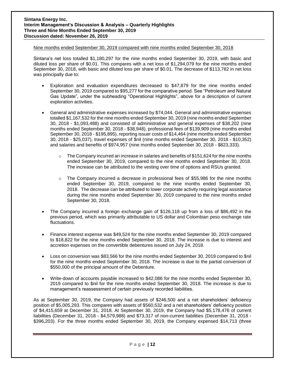#### Nine months ended September 30, 2019 compared with nine months ended September 30, 2018

Sintana's net loss totalled \$1,180,297 for the nine months ended September 30, 2019, with basic and diluted loss per share of \$0.01. This compares with a net loss of \$1,294,079 for the nine months ended September 30, 2018, with basic and diluted loss per share of \$0.01. The decrease of \$113,782 in net loss was principally due to:

- Exploration and evaluation expenditures decreased to \$47,879 for the nine months ended September 30, 2019 compared to \$95,277 for the comparative period. See "Petroleum and Natural Gas Update", under the subheading "Operational Highlights", above for a description of current exploration activities.
- General and administrative expenses increased by \$74,044. General and administrative expenses totalled \$1,167,532 for the nine months ended September 30, 2019 (nine months ended September 30, 2018 - \$1,093,488) and consisted of administrative and general expenses of \$38,202 (nine months ended September 30, 2018 - \$38,948), professional fees of \$139,909 (nine months ended September 30, 2018 - \$195,895), reporting issuer costs of \$14,464 (nine months ended September 30, 2018 - \$25,037), travel expenses of \$nil (nine months ended September 30, 2018 - \$10,352) and salaries and benefits of \$974,957 (nine months ended September 30, 2018 - \$823,333).
	- $\circ$  The Company incurred an increase in salaries and benefits of \$151,624 for the nine months ended September 30, 2019, compared to the nine months ended September 30, 2018. The increase can be attributed to the vesting over time of options and RSUs granted.
	- $\circ$  The Company incurred a decrease in professional fees of \$55,986 for the nine months ended September 30, 2019, compared to the nine months ended September 30, 2018. The decrease can be attributed to lower corporate activity requiring legal assistance during the nine months ended September 30, 2019 compared to the nine months ended September 30, 2018.
- The Company incurred a foreign exchange gain of \$126,118 up from a loss of \$86,492 in the previous period, which was primarily attributable to US dollar and Colombian peso exchange rate fluctuations.
- Finance interest expense was \$49,524 for the nine months ended September 30, 2019 compared to \$18,822 for the nine months ended September 30, 2018. The increase is due to interest and accretion expenses on the convertible debentures issued on July 24, 2018.
- Loss on conversion was \$83,566 for the nine months ended September 30, 2019 compared to \$nil for the nine months ended September 30, 2018. The increase is due to the partial conversion of \$550,000 of the principal amount of the Debenture.
- Write-down of accounts payable increased to \$42,086 for the nine months ended September 30, 2019 compared to \$nil for the nine months ended September 30, 2018. The increase is due to management's reassessment of certain previously recorded liabilities.

As at September 30, 2019, the Company had assets of \$246,500 and a net shareholders' deficiency position of \$5,005,293. This compares with assets of \$560,532 and a net shareholders' deficiency position of \$4,415,659 at December 31, 2018. At September 30, 2019, the Company had \$5,178,476 of current liabilities (December 31, 2018 - \$4,579,988) and \$73,317 of non-current liabilities (December 31, 2018 - \$396,203). For the three months ended September 30, 2019, the Company expensed \$14,713 (three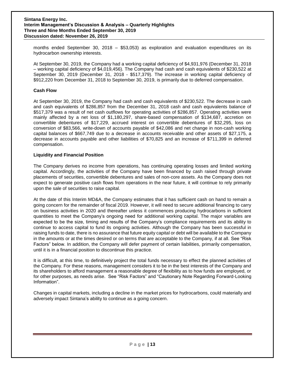months ended September 30, 2018 – \$53,053) as exploration and evaluation expenditures on its hydrocarbon ownership interests.

At September 30, 2019, the Company had a working capital deficiency of \$4,931,976 (December 31, 2018 – working capital deficiency of \$4,019,456). The Company had cash and cash equivalents of \$230,522 at September 30, 2019 (December 31, 2018 - \$517,379). The increase in working capital deficiency of \$912,220 from December 31, 2018 to September 30, 2019, is primarily due to deferred compensation.

#### **Cash Flow**

At September 30, 2019, the Company had cash and cash equivalents of \$230,522. The decrease in cash and cash equivalents of \$286,857 from the December 31, 2018 cash and cash equivalents balance of \$517,379 was a result of net cash outflows for operating activities of \$286,857. Operating activities were mainly affected by a net loss of \$1,180,297, share-based compensation of \$134,687, accretion on convertible debentures of \$17,229, accrued interest on convertible debentures of \$32,295, loss on conversion of \$83,566, write-down of accounts payable of \$42,086 and net change in non-cash working capital balances of \$667,749 due to a decrease in accounts receivable and other assets of \$27,175, a decrease in accounts payable and other liabilities of \$70,825 and an increase of \$711,399 in deferred compensation.

#### **Liquidity and Financial Position**

The Company derives no income from operations, has continuing operating losses and limited working capital. Accordingly, the activities of the Company have been financed by cash raised through private placements of securities, convertible debentures and sales of non-core assets. As the Company does not expect to generate positive cash flows from operations in the near future, it will continue to rely primarily upon the sale of securities to raise capital.

At the date of this Interim MD&A, the Company estimates that it has sufficient cash on hand to remain a going concern for the remainder of fiscal 2019. However, it will need to secure additional financing to carry on business activities in 2020 and thereafter unless it commences producing hydrocarbons in sufficient quantities to meet the Company's ongoing need for additional working capital. The major variables are expected to be the size, timing and results of the Company's compliance requirements and its ability to continue to access capital to fund its ongoing activities. Although the Company has been successful in raising funds to date, there is no assurance that future equity capital or debt will be available to the Company in the amounts or at the times desired or on terms that are acceptable to the Company, if at all. See "Risk Factors" below. In addition, the Company will defer payment of certain liabilities, primarily compensation, until it is in a financial position to discontinue this practice.

It is difficult, at this time, to definitively project the total funds necessary to effect the planned activities of the Company. For these reasons, management considers it to be in the best interests of the Company and its shareholders to afford management a reasonable degree of flexibility as to how funds are employed, or for other purposes, as needs arise. See "Risk Factors" and "Cautionary Note Regarding Forward-Looking Information".

Changes in capital markets, including a decline in the market prices for hydrocarbons, could materially and adversely impact Sintana's ability to continue as a going concern.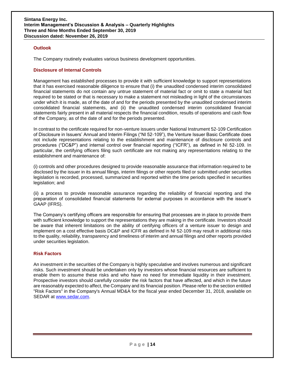#### **Outlook**

The Company routinely evaluates various business development opportunities.

#### **Disclosure of Internal Controls**

Management has established processes to provide it with sufficient knowledge to support representations that it has exercised reasonable diligence to ensure that (i) the unaudited condensed interim consolidated financial statements do not contain any untrue statement of material fact or omit to state a material fact required to be stated or that is necessary to make a statement not misleading in light of the circumstances under which it is made, as of the date of and for the periods presented by the unaudited condensed interim consolidated financial statements, and (ii) the unaudited condensed interim consolidated financial statements fairly present in all material respects the financial condition, results of operations and cash flow of the Company, as of the date of and for the periods presented.

In contrast to the certificate required for non-venture issuers under National Instrument 52-109 Certification of Disclosure in Issuers' Annual and Interim Filings ("NI 52-109"), the Venture Issuer Basic Certificate does not include representations relating to the establishment and maintenance of disclosure controls and procedures ("DC&P") and internal control over financial reporting ("ICFR"), as defined in NI 52-109. In particular, the certifying officers filing such certificate are not making any representations relating to the establishment and maintenance of:

(i) controls and other procedures designed to provide reasonable assurance that information required to be disclosed by the issuer in its annual filings, interim filings or other reports filed or submitted under securities legislation is recorded, processed, summarized and reported within the time periods specified in securities legislation; and

(ii) a process to provide reasonable assurance regarding the reliability of financial reporting and the preparation of consolidated financial statements for external purposes in accordance with the issuer's GAAP (IFRS).

The Company's certifying officers are responsible for ensuring that processes are in place to provide them with sufficient knowledge to support the representations they are making in the certificate. Investors should be aware that inherent limitations on the ability of certifying officers of a venture issuer to design and implement on a cost effective basis DC&P and ICFR as defined in NI 52-109 may result in additional risks to the quality, reliability, transparency and timeliness of interim and annual filings and other reports provided under securities legislation.

#### **Risk Factors**

An investment in the securities of the Company is highly speculative and involves numerous and significant risks. Such investment should be undertaken only by investors whose financial resources are sufficient to enable them to assume these risks and who have no need for immediate liquidity in their investment. Prospective investors should carefully consider the risk factors that have affected, and which in the future are reasonably expected to affect, the Company and its financial position. Please refer to the section entitled "Risk Factors" in the Company's Annual MD&A for the fiscal year ended December 31, 2018, available on SEDAR at [www.sedar.com.](http://www.sedar.com/)